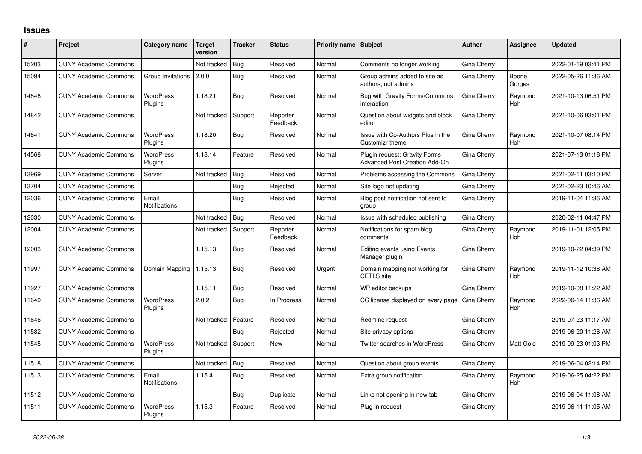## **Issues**

| #     | Project                      | Category name                 | <b>Target</b><br>version | <b>Tracker</b> | <b>Status</b>        | <b>Priority name Subject</b> |                                                                | <b>Author</b> | Assignee        | <b>Updated</b>      |
|-------|------------------------------|-------------------------------|--------------------------|----------------|----------------------|------------------------------|----------------------------------------------------------------|---------------|-----------------|---------------------|
| 15203 | <b>CUNY Academic Commons</b> |                               | Not tracked              | Bug            | Resolved             | Normal                       | Comments no longer working                                     | Gina Cherry   |                 | 2022-01-19 03:41 PM |
| 15094 | <b>CUNY Academic Commons</b> | Group Invitations             | 2.0.0                    | Bug            | Resolved             | Normal                       | Group admins added to site as<br>authors, not admins           | Gina Cherry   | Boone<br>Gorges | 2022-05-26 11:36 AM |
| 14848 | <b>CUNY Academic Commons</b> | <b>WordPress</b><br>Plugins   | 1.18.21                  | Bug            | Resolved             | Normal                       | Bug with Gravity Forms/Commons<br>interaction                  | Gina Cherry   | Raymond<br>Hoh  | 2021-10-13 06:51 PM |
| 14842 | <b>CUNY Academic Commons</b> |                               | Not tracked              | Support        | Reporter<br>Feedback | Normal                       | Question about widgets and block<br>editor                     | Gina Cherry   |                 | 2021-10-06 03:01 PM |
| 14841 | <b>CUNY Academic Commons</b> | <b>WordPress</b><br>Plugins   | 1.18.20                  | Bug            | Resolved             | Normal                       | Issue with Co-Authors Plus in the<br>Customizr theme           | Gina Cherry   | Raymond<br>Hoh  | 2021-10-07 08:14 PM |
| 14568 | <b>CUNY Academic Commons</b> | <b>WordPress</b><br>Plugins   | 1.18.14                  | Feature        | Resolved             | Normal                       | Plugin request: Gravity Forms<br>Advanced Post Creation Add-On | Gina Cherry   |                 | 2021-07-13 01:18 PM |
| 13969 | <b>CUNY Academic Commons</b> | Server                        | Not tracked              | Bug            | Resolved             | Normal                       | Problems accessing the Commons                                 | Gina Cherry   |                 | 2021-02-11 03:10 PM |
| 13704 | <b>CUNY Academic Commons</b> |                               |                          | Bug            | Rejected             | Normal                       | Site logo not updating                                         | Gina Cherry   |                 | 2021-02-23 10:46 AM |
| 12036 | <b>CUNY Academic Commons</b> | Email<br>Notifications        |                          | Bug            | Resolved             | Normal                       | Blog post notification not sent to<br>group                    | Gina Cherry   |                 | 2019-11-04 11:36 AM |
| 12030 | <b>CUNY Academic Commons</b> |                               | Not tracked              | Bug            | Resolved             | Normal                       | Issue with scheduled publishing                                | Gina Cherry   |                 | 2020-02-11 04:47 PM |
| 12004 | <b>CUNY Academic Commons</b> |                               | Not tracked              | Support        | Reporter<br>Feedback | Normal                       | Notifications for spam blog<br>comments                        | Gina Cherry   | Raymond<br>Hoh  | 2019-11-01 12:05 PM |
| 12003 | <b>CUNY Academic Commons</b> |                               | 1.15.13                  | Bug            | Resolved             | Normal                       | <b>Editing events using Events</b><br>Manager plugin           | Gina Cherry   |                 | 2019-10-22 04:39 PM |
| 11997 | <b>CUNY Academic Commons</b> | Domain Mapping                | 1.15.13                  | Bug            | Resolved             | Urgent                       | Domain mapping not working for<br><b>CETLS</b> site            | Gina Cherry   | Raymond<br>Hoh  | 2019-11-12 10:38 AM |
| 11927 | <b>CUNY Academic Commons</b> |                               | 1.15.11                  | Bug            | Resolved             | Normal                       | WP editor backups                                              | Gina Cherry   |                 | 2019-10-08 11:22 AM |
| 11649 | <b>CUNY Academic Commons</b> | <b>WordPress</b><br>Plugins   | 2.0.2                    | Bug            | In Progress          | Normal                       | CC license displayed on every page                             | Gina Cherry   | Raymond<br>Hoh  | 2022-06-14 11:36 AM |
| 11646 | <b>CUNY Academic Commons</b> |                               | Not tracked              | Feature        | Resolved             | Normal                       | Redmine request                                                | Gina Cherry   |                 | 2019-07-23 11:17 AM |
| 11582 | <b>CUNY Academic Commons</b> |                               |                          | Bug            | Rejected             | Normal                       | Site privacy options                                           | Gina Cherry   |                 | 2019-06-20 11:26 AM |
| 11545 | <b>CUNY Academic Commons</b> | <b>WordPress</b><br>Plugins   | Not tracked              | Support        | <b>New</b>           | Normal                       | <b>Twitter searches in WordPress</b>                           | Gina Cherry   | Matt Gold       | 2019-09-23 01:03 PM |
| 11518 | <b>CUNY Academic Commons</b> |                               | Not tracked              | Bug            | Resolved             | Normal                       | Question about group events                                    | Gina Cherry   |                 | 2019-06-04 02:14 PM |
| 11513 | <b>CUNY Academic Commons</b> | Email<br><b>Notifications</b> | 1.15.4                   | Bug            | Resolved             | Normal                       | Extra group notification                                       | Gina Cherry   | Raymond<br>Hoh  | 2019-06-25 04:22 PM |
| 11512 | <b>CUNY Academic Commons</b> |                               |                          | Bug            | Duplicate            | Normal                       | Links not opening in new tab                                   | Gina Cherry   |                 | 2019-06-04 11:08 AM |
| 11511 | <b>CUNY Academic Commons</b> | <b>WordPress</b><br>Plugins   | 1.15.3                   | Feature        | Resolved             | Normal                       | Plug-in request                                                | Gina Cherry   |                 | 2019-06-11 11:05 AM |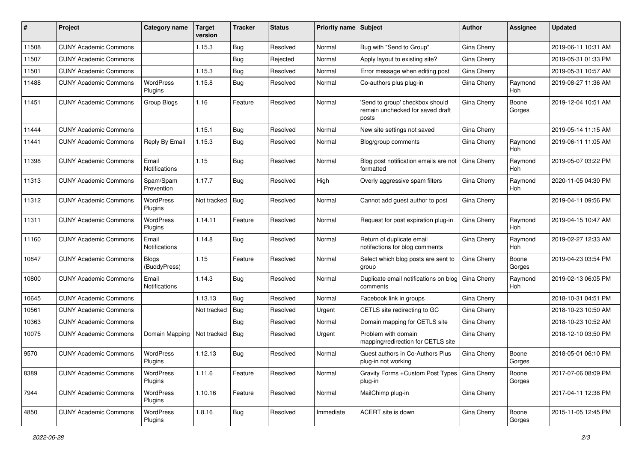| #     | Project                      | <b>Category name</b>          | <b>Target</b><br>version | <b>Tracker</b> | <b>Status</b> | Priority name Subject |                                                                              | Author             | Assignee        | <b>Updated</b>      |
|-------|------------------------------|-------------------------------|--------------------------|----------------|---------------|-----------------------|------------------------------------------------------------------------------|--------------------|-----------------|---------------------|
| 11508 | <b>CUNY Academic Commons</b> |                               | 1.15.3                   | Bug            | Resolved      | Normal                | Bug with "Send to Group"                                                     | Gina Cherry        |                 | 2019-06-11 10:31 AM |
| 11507 | <b>CUNY Academic Commons</b> |                               |                          | Bug            | Rejected      | Normal                | Apply layout to existing site?                                               | Gina Cherry        |                 | 2019-05-31 01:33 PM |
| 11501 | <b>CUNY Academic Commons</b> |                               | 1.15.3                   | Bug            | Resolved      | Normal                | Error message when editing post                                              | Gina Cherry        |                 | 2019-05-31 10:57 AM |
| 11488 | <b>CUNY Academic Commons</b> | <b>WordPress</b><br>Plugins   | 1.15.8                   | Bug            | Resolved      | Normal                | Co-authors plus plug-in                                                      | Gina Cherry        | Raymond<br>Hoh  | 2019-08-27 11:36 AM |
| 11451 | <b>CUNY Academic Commons</b> | Group Blogs                   | 1.16                     | Feature        | Resolved      | Normal                | 'Send to group' checkbox should<br>remain unchecked for saved draft<br>posts | Gina Cherry        | Boone<br>Gorges | 2019-12-04 10:51 AM |
| 11444 | <b>CUNY Academic Commons</b> |                               | 1.15.1                   | Bug            | Resolved      | Normal                | New site settings not saved                                                  | Gina Cherry        |                 | 2019-05-14 11:15 AM |
| 11441 | <b>CUNY Academic Commons</b> | Reply By Email                | 1.15.3                   | Bug            | Resolved      | Normal                | Blog/group comments                                                          | Gina Cherry        | Raymond<br>Hoh  | 2019-06-11 11:05 AM |
| 11398 | <b>CUNY Academic Commons</b> | Email<br><b>Notifications</b> | 1.15                     | Bug            | Resolved      | Normal                | Blog post notification emails are not<br>formatted                           | <b>Gina Cherry</b> | Raymond<br>Hoh  | 2019-05-07 03:22 PM |
| 11313 | <b>CUNY Academic Commons</b> | Spam/Spam<br>Prevention       | 1.17.7                   | Bug            | Resolved      | High                  | Overly aggressive spam filters                                               | Gina Cherry        | Raymond<br>Hoh  | 2020-11-05 04:30 PM |
| 11312 | <b>CUNY Academic Commons</b> | <b>WordPress</b><br>Plugins   | Not tracked              | Bug            | Resolved      | Normal                | Cannot add guest author to post                                              | Gina Cherry        |                 | 2019-04-11 09:56 PM |
| 11311 | <b>CUNY Academic Commons</b> | <b>WordPress</b><br>Plugins   | 1.14.11                  | Feature        | Resolved      | Normal                | Request for post expiration plug-in                                          | Gina Cherry        | Raymond<br>Hoh  | 2019-04-15 10:47 AM |
| 11160 | <b>CUNY Academic Commons</b> | Email<br><b>Notifications</b> | 1.14.8                   | Bug            | Resolved      | Normal                | Return of duplicate email<br>notifactions for blog comments                  | Gina Cherry        | Raymond<br>Hoh  | 2019-02-27 12:33 AM |
| 10847 | <b>CUNY Academic Commons</b> | <b>Blogs</b><br>(BuddyPress)  | 1.15                     | Feature        | Resolved      | Normal                | Select which blog posts are sent to<br>group                                 | Gina Cherry        | Boone<br>Gorges | 2019-04-23 03:54 PM |
| 10800 | <b>CUNY Academic Commons</b> | Email<br>Notifications        | 1.14.3                   | Bug            | Resolved      | Normal                | Duplicate email notifications on blog<br>comments                            | Gina Cherry        | Raymond<br>Hoh  | 2019-02-13 06:05 PM |
| 10645 | <b>CUNY Academic Commons</b> |                               | 1.13.13                  | Bug            | Resolved      | Normal                | Facebook link in groups                                                      | Gina Cherry        |                 | 2018-10-31 04:51 PM |
| 10561 | <b>CUNY Academic Commons</b> |                               | Not tracked              | Bug            | Resolved      | Urgent                | CETLS site redirecting to GC                                                 | Gina Cherry        |                 | 2018-10-23 10:50 AM |
| 10363 | <b>CUNY Academic Commons</b> |                               |                          | Bug            | Resolved      | Normal                | Domain mapping for CETLS site                                                | Gina Cherry        |                 | 2018-10-23 10:52 AM |
| 10075 | <b>CUNY Academic Commons</b> | Domain Mapping                | Not tracked              | Bug            | Resolved      | Urgent                | Problem with domain<br>mapping/redirection for CETLS site                    | Gina Cherry        |                 | 2018-12-10 03:50 PM |
| 9570  | <b>CUNY Academic Commons</b> | WordPress<br>Plugins          | 1.12.13                  | Bug            | Resolved      | Normal                | Guest authors in Co-Authors Plus<br>plug-in not working                      | Gina Cherry        | Boone<br>Gorges | 2018-05-01 06:10 PM |
| 8389  | <b>CUNY Academic Commons</b> | <b>WordPress</b><br>Plugins   | 1.11.6                   | Feature        | Resolved      | Normal                | Gravity Forms + Custom Post Types   Gina Cherry<br>plug-in                   |                    | Boone<br>Gorges | 2017-07-06 08:09 PM |
| 7944  | <b>CUNY Academic Commons</b> | <b>WordPress</b><br>Plugins   | 1.10.16                  | Feature        | Resolved      | Normal                | MailChimp plug-in                                                            | Gina Cherry        |                 | 2017-04-11 12:38 PM |
| 4850  | <b>CUNY Academic Commons</b> | WordPress<br>Plugins          | 1.8.16                   | Bug            | Resolved      | Immediate             | ACERT site is down                                                           | Gina Cherry        | Boone<br>Gorges | 2015-11-05 12:45 PM |